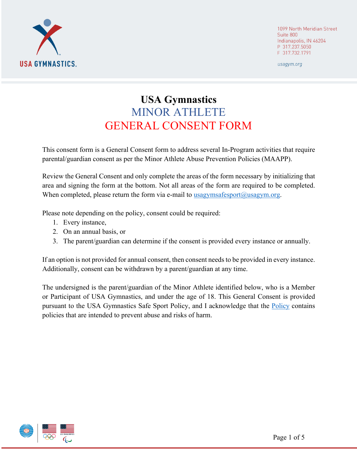

1099 North Meridian Street Suite 800 Indianapolis, IN 46204 P 317.237.5050 F 317.732.1791

usagym.org

# **USA Gymnastics**  MINOR ATHLETE GENERAL CONSENT FORM

This consent form is a General Consent form to address several In-Program activities that require parental/guardian consent as per the Minor Athlete Abuse Prevention Policies (MAAPP).

Review the General Consent and only complete the areas of the form necessary by initializing that area and signing the form at the bottom. Not all areas of the form are required to be completed. When completed, please return the form via e-mail to  $usagymsafesport@usagym.org.$ </u>

Please note depending on the policy, consent could be required:

- 1. Every instance,
- 2. On an annual basis, or
- 3. The parent/guardian can determine if the consent is provided every instance or annually.

If an option is not provided for annual consent, then consent needs to be provided in every instance. Additionally, consent can be withdrawn by a parent/guardian at any time.

The undersigned is the parent/guardian of the Minor Athlete identified below, who is a Member or Participant of USA Gymnastics, and under the age of 18. This General Consent is provided pursuant to the USA Gymnastics Safe Sport Policy, and I acknowledge that the [Policy](https://usagym.org/PDFs/safesport/policy2021.pdf) contains policies that are intended to prevent abuse and risks of harm.

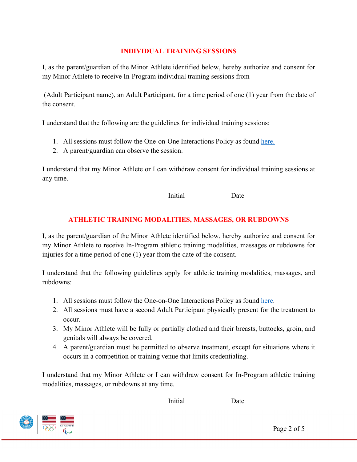# **INDIVIDUAL TRAINING SESSIONS**

I, as the parent/guardian of the Minor Athlete identified below, hereby authorize and consent for my Minor Athlete to receive In-Program individual training sessions from

 (Adult Participant name), an Adult Participant, for a time period of one (1) year from the date of the consent.

I understand that the following are the guidelines for individual training sessions:

- 1. All sessions must follow the One-on-One Interactions Policy as found [here.](https://usagym.org/PDFs/safesport/policy2021.pdf)
- 2. A parent/guardian can observe the session.

I understand that my Minor Athlete or I can withdraw consent for individual training sessions at any time.

**Initial** Date

# **ATHLETIC TRAINING MODALITIES, MASSAGES, OR RUBDOWNS**

I, as the parent/guardian of the Minor Athlete identified below, hereby authorize and consent for my Minor Athlete to receive In-Program athletic training modalities, massages or rubdowns for injuries for a time period of one (1) year from the date of the consent.

I understand that the following guidelines apply for athletic training modalities, massages, and rubdowns:

- 1. All sessions must follow the One-on-One Interactions Policy as found [here.](https://usagym.org/PDFs/safesport/policy2021.pdf)
- 2. All sessions must have a second Adult Participant physically present for the treatment to occur.
- 3. My Minor Athlete will be fully or partially clothed and their breasts, buttocks, groin, and genitals will always be covered.
- 4. A parent/guardian must be permitted to observe treatment, except for situations where it occurs in a competition or training venue that limits credentialing.

I understand that my Minor Athlete or I can withdraw consent for In-Program athletic training modalities, massages, or rubdowns at any time.



**Initial** Date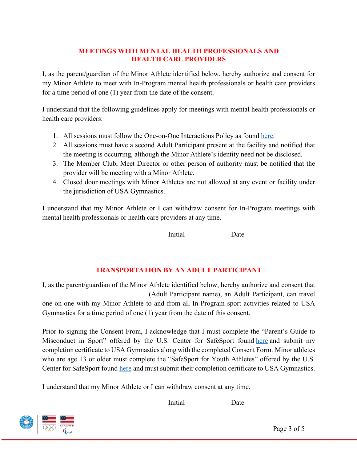## **MEETINGS WITH MENTAL HEALTH PROFESSIONALS AND HEALTH CARE PROVIDERS**

I, as the parent/guardian of the Minor Athlete identified below, hereby authorize and consent for my Minor Athlete to meet with In-Program mental health professionals or health care providers for a time period of one (1) year from the date of the consent.

I understand that the following guidelines apply for meetings with mental health professionals or health care providers:

- 1. All sessions must follow the One-on-One Interactions Policy as found [here.](https://usagym.org/PDFs/safesport/policy2021.pdf)
- 2. All sessions must have a second Adult Participant present at the facility and notified that the meeting is occurring, although the Minor Athlete's identity need not be disclosed.
- 3. The Member Club, Meet Director or other person of authority must be notified that the provider will be meeting with a Minor Athlete.
- 4. Closed door meetings with Minor Athletes are not allowed at any event or facility under the jurisdiction of USA Gymnastics.

I understand that my Minor Athlete or I can withdraw consent for In-Program meetings with mental health professionals or health care providers at any time.

**Initial** Date

# **TRANSPORTATION BY AN ADULT PARTICIPANT**

I, as the parent/guardian of the Minor Athlete identified below, hereby authorize and consent that (Adult Participant name), an Adult Participant, can travel one-on-one with my Minor Athlete to and from all In-Program sport activities related to USA Gymnastics for a time period of one (1) year from the date of this consent.

Prior to signing the Consent From, I acknowledge that I must complete the "Parent's Guide to Misconduct in Sport" offered by the U.S. Center for SafeSport found [here a](https://safesporttrained.org/#/public-dashboard)nd submit my completion certificate to USA Gymnastics along with the completed Consent Form. Minor athletes who are age 13 or older must complete the "SafeSport for Youth Athletes" offered by the U.S. Center for SafeSport found [here a](https://safesporttrained.org/#/public-dashboard)nd must submit their completion certificate to USA Gymnastics.

I understand that my Minor Athlete or I can withdraw consent at any time.

**Initial** Date

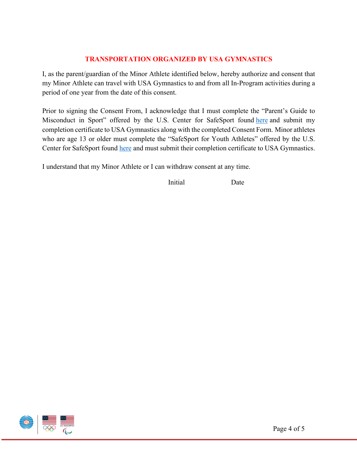# **TRANSPORTATION ORGANIZED BY USA GYMNASTICS**

I, as the parent/guardian of the Minor Athlete identified below, hereby authorize and consent that my Minor Athlete can travel with USA Gymnastics to and from all In-Program activities during a period of one year from the date of this consent.

Prior to signing the Consent From, I acknowledge that I must complete the "Parent's Guide to Misconduct in Sport" offered by the U.S. Center for SafeSport found [here](https://safesporttrained.org/#/public-dashboard) and submit my completion certificate to USA Gymnastics along with the completed Consent Form. Minor athletes who are age 13 or older must complete the "SafeSport for Youth Athletes" offered by the U.S. Center for SafeSport found [here a](https://safesporttrained.org/#/public-dashboard)nd must submit their completion certificate to USA Gymnastics.

I understand that my Minor Athlete or I can withdraw consent at any time.

**Initial** Date